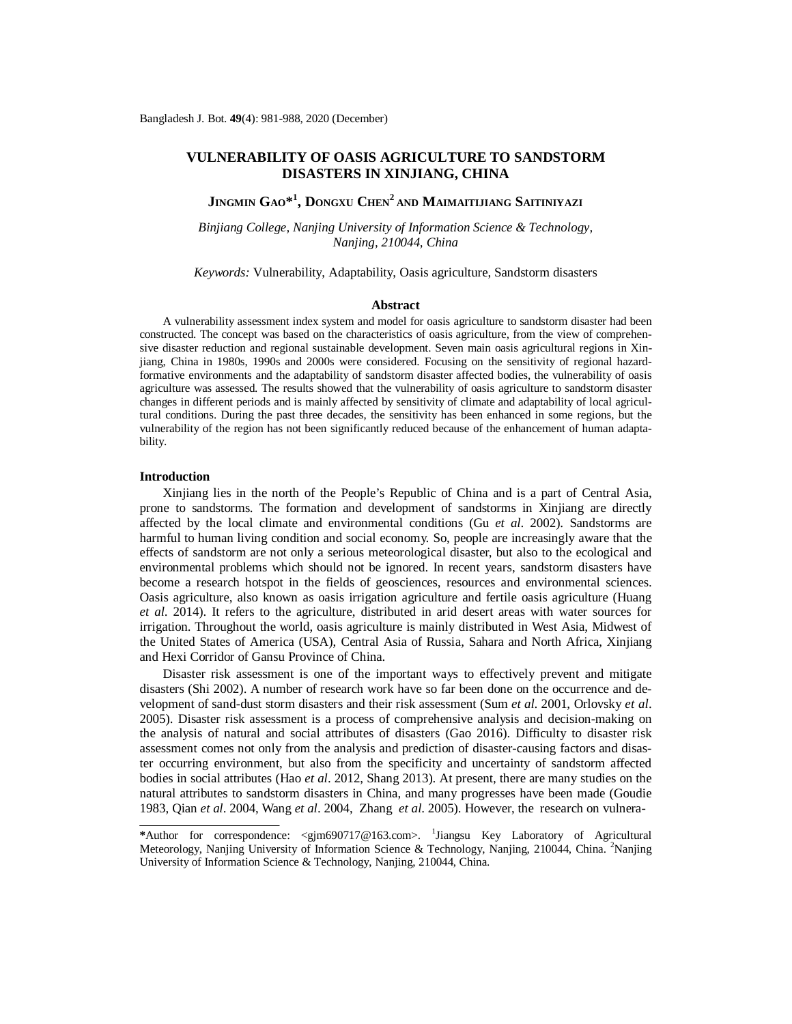# **VULNERABILITY OF OASIS AGRICULTURE TO SANDSTORM DISASTERS IN XINJIANG, CHINA**

**JINGMIN GAO\* 1 , DONGXU CHEN<sup>2</sup> AND MAIMAITIJIANG SAITINIYAZI**

*Binjiang College, Nanjing University of Information Science & Technology, Nanjing, 210044, China*

*Keywords:* Vulnerability, Adaptability, Oasis agriculture, Sandstorm disasters

# **Abstract**

A vulnerability assessment index system and model for oasis agriculture to sandstorm disaster had been constructed. The concept was based on the characteristics of oasis agriculture, from the view of comprehensive disaster reduction and regional sustainable development. Seven main oasis agricultural regions in Xinjiang, China in 1980s, 1990s and 2000s were considered. Focusing on the sensitivity of regional hazardformative environments and the adaptability of sandstorm disaster affected bodies, the vulnerability of oasis agriculture was assessed. The results showed that the vulnerability of oasis agriculture to sandstorm disaster changes in different periods and is mainly affected by sensitivity of climate and adaptability of local agricultural conditions. During the past three decades, the sensitivity has been enhanced in some regions, but the vulnerability of the region has not been significantly reduced because of the enhancement of human adaptability.

# **Introduction**

Xinjiang lies in the north of the People's Republic of China and is a part of Central Asia, prone to sandstorms. The formation and development of sandstorms in Xinjiang are directly affected by the local climate and environmental conditions (Gu *et al*. 2002). Sandstorms are harmful to human living condition and social economy. So, people are increasingly aware that the effects of sandstorm are not only a serious meteorological disaster, but also to the ecological and environmental problems which should not be ignored. In recent years, sandstorm disasters have become a research hotspot in the fields of geosciences, resources and environmental sciences. Oasis agriculture, also known as oasis irrigation agriculture and fertile oasis agriculture (Huang *et al*. 2014). It refers to the agriculture, distributed in arid desert areas with water sources for irrigation. Throughout the world, oasis agriculture is mainly distributed in West Asia, Midwest of the United States of America (USA), Central Asia of Russia, Sahara and North Africa, Xinjiang and Hexi Corridor of Gansu Province of China.

Disaster risk assessment is one of the important ways to effectively prevent and mitigate disasters (Shi 2002). A number of research work have so far been done on the occurrence and development of sand-dust storm disasters and their risk assessment (Sum *et al*. 2001, Orlovsky *et al*. 2005). Disaster risk assessment is a process of comprehensive analysis and decision-making on the analysis of natural and social attributes of disasters (Gao 2016). Difficulty to disaster risk assessment comes not only from the analysis and prediction of disaster-causing factors and disaster occurring environment, but also from the specificity and uncertainty of sandstorm affected bodies in social attributes (Hao *et al*. 2012, Shang 2013). At present, there are many studies on the natural attributes to sandstorm disasters in China, and many progresses have been made (Goudie 1983, Qian *et al*. 2004, Wang *et al*. 2004, Zhang *et al*. 2005). However, the research on vulnera-

<sup>\*</sup>Author for correspondence: <[gjm690717@163.com](mailto:gjm690717@163.com)>. <sup>1</sup>Jiangsu Key Laboratory of Agricultural Meteorology, Nanjing University of Information Science & Technology, Nanjing, 210044, China. <sup>2</sup>Nanjing University of Information Science & Technology, Nanjing, 210044, China.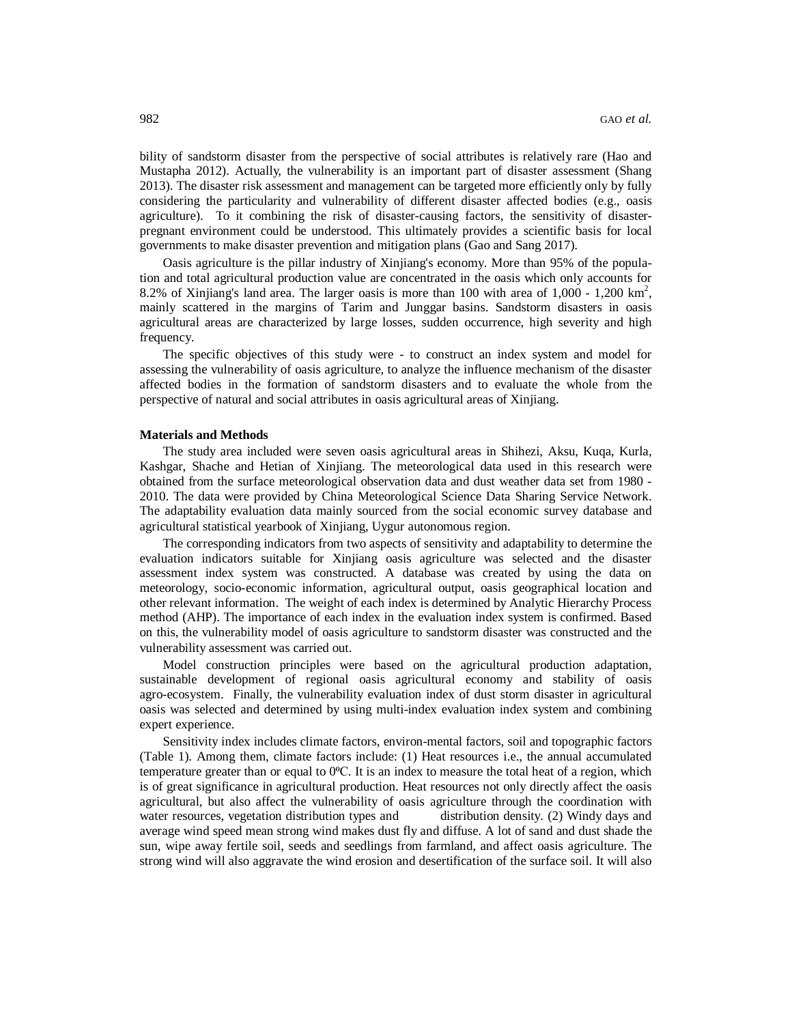bility of sandstorm disaster from the perspective of social attributes is relatively rare (Hao and Mustapha 2012). Actually, the vulnerability is an important part of disaster assessment (Shang 2013). The disaster risk assessment and management can be targeted more efficiently only by fully considering the particularity and vulnerability of different disaster affected bodies (e.g., oasis agriculture). To it combining the risk of disaster-causing factors, the sensitivity of disasterpregnant environment could be understood. This ultimately provides a scientific basis for local governments to make disaster prevention and mitigation plans (Gao and Sang 2017).

Oasis agriculture is the pillar industry of Xinjiang's economy. More than 95% of the population and total agricultural production value are concentrated in the oasis which only accounts for 8.2% of Xinjiang's land area. The larger oasis is more than 100 with area of  $1,000$  -  $1,200$  km<sup>2</sup>, mainly scattered in the margins of Tarim and Junggar basins. Sandstorm disasters in oasis agricultural areas are characterized by large losses, sudden occurrence, high severity and high frequency.

The specific objectives of this study were - to construct an index system and model for assessing the vulnerability of oasis agriculture, to analyze the influence mechanism of the disaster affected bodies in the formation of sandstorm disasters and to evaluate the whole from the perspective of natural and social attributes in oasis agricultural areas of Xinjiang.

#### **Materials and Methods**

The study area included were seven oasis agricultural areas in Shihezi, Aksu, Kuqa, Kurla, Kashgar, Shache and Hetian of Xinjiang. The meteorological data used in this research were obtained from the surface meteorological observation data and dust weather data set from 1980 - 2010. The data were provided by China Meteorological Science Data Sharing Service Network. The adaptability evaluation data mainly sourced from the social economic survey database and agricultural statistical yearbook of Xinjiang, Uygur autonomous region.

The corresponding indicators from two aspects of sensitivity and adaptability to determine the evaluation indicators suitable for Xinjiang oasis agriculture was selected and the disaster assessment index system was constructed. A database was created by using the data on meteorology, socio-economic information, agricultural output, oasis geographical location and other relevant information. The weight of each index is determined by Analytic Hierarchy Process method (AHP). The importance of each index in the evaluation index system is confirmed. Based on this, the vulnerability model of oasis agriculture to sandstorm disaster was constructed and the vulnerability assessment was carried out.

Model construction principles were based on the agricultural production adaptation, sustainable development of regional oasis agricultural economy and stability of oasis agro-ecosystem. Finally, the vulnerability evaluation index of dust storm disaster in agricultural oasis was selected and determined by using multi-index evaluation index system and combining expert experience.

Sensitivity index includes climate factors, environ-mental factors, soil and topographic factors (Table 1). Among them, climate factors include: (1) Heat resources i.e., the annual accumulated temperature greater than or equal to  $0^{\circ}$ C. It is an index to measure the total heat of a region, which is of great significance in agricultural production. Heat resources not only directly affect the oasis agricultural, but also affect the vulnerability of oasis agriculture through the coordination with water resources, vegetation distribution types and distribution density. (2) Windy days and average wind speed mean strong wind makes dust fly and diffuse. A lot of sand and dust shade the sun, wipe away fertile soil, seeds and seedlings from farmland, and affect oasis agriculture. The strong wind will also aggravate the wind erosion and desertification of the surface soil. It will also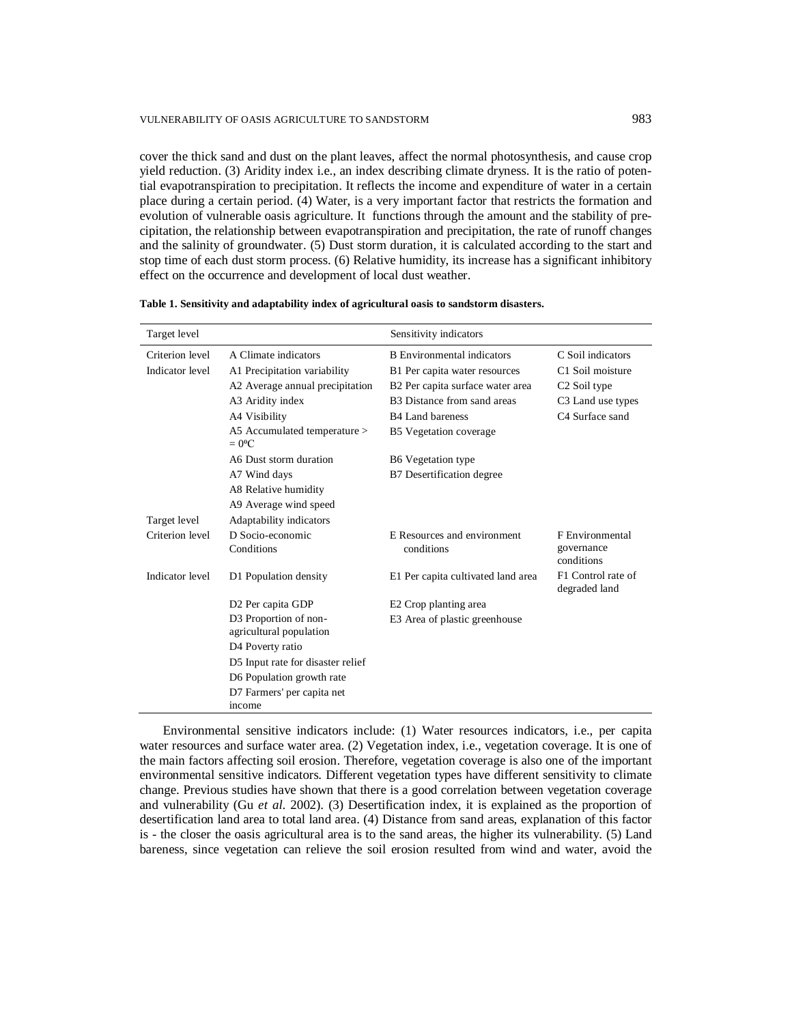# VULNERABILITY OF OASIS AGRICULTURE TO SANDSTORM 983

cover the thick sand and dust on the plant leaves, affect the normal photosynthesis, and cause crop yield reduction. (3) Aridity index i.e., an index describing climate dryness. It is the ratio of potential evapotranspiration to precipitation. It reflects the income and expenditure of water in a certain place during a certain period. (4) Water, is a very important factor that restricts the formation and evolution of vulnerable oasis agriculture. It functions through the amount and the stability of precipitation, the relationship between evapotranspiration and precipitation, the rate of runoff changes and the salinity of groundwater. (5) Dust storm duration, it is calculated according to the start and stop time of each dust storm process. (6) Relative humidity, its increase has a significant inhibitory effect on the occurrence and development of local dust weather.

| Target level    |                                                | Sensitivity indicators                  |                                     |
|-----------------|------------------------------------------------|-----------------------------------------|-------------------------------------|
| Criterion level | A Climate indicators                           | <b>B</b> Environmental indicators       | C Soil indicators                   |
| Indicator level | A1 Precipitation variability                   | B1 Per capita water resources           | C1 Soil moisture                    |
|                 | A2 Average annual precipitation                | B2 Per capita surface water area        | C <sub>2</sub> Soil type            |
|                 | A3 Aridity index                               | B <sub>3</sub> Distance from sand areas | C <sub>3</sub> Land use types       |
|                 | A4 Visibility                                  | B <sub>4</sub> Land bareness            | C <sub>4</sub> Surface sand         |
|                 | A5 Accumulated temperature ><br>$= 0^{\circ}C$ | B5 Vegetation coverage                  |                                     |
|                 | A6 Dust storm duration                         | B6 Vegetation type                      |                                     |
|                 | A7 Wind days                                   | B7 Desertification degree               |                                     |
|                 | A8 Relative humidity                           |                                         |                                     |
|                 | A9 Average wind speed                          |                                         |                                     |
| Target level    | Adaptability indicators                        |                                         |                                     |
| Criterion level | D Socio-economic                               | E Resources and environment             | F Environmental                     |
|                 | Conditions                                     | conditions                              | governance<br>conditions            |
| Indicator level | D1 Population density                          | E1 Per capita cultivated land area      | F1 Control rate of<br>degraded land |
|                 | D <sub>2</sub> Per capita GDP                  | E2 Crop planting area                   |                                     |
|                 | D3 Proportion of non-                          | E3 Area of plastic greenhouse           |                                     |
|                 | agricultural population                        |                                         |                                     |
|                 | D4 Poverty ratio                               |                                         |                                     |
|                 | D5 Input rate for disaster relief              |                                         |                                     |
|                 | D6 Population growth rate                      |                                         |                                     |
|                 | D7 Farmers' per capita net                     |                                         |                                     |
|                 | income                                         |                                         |                                     |

**Table 1. Sensitivity and adaptability index of agricultural oasis to sandstorm disasters.**

Environmental sensitive indicators include: (1) Water resources indicators, i.e., per capita water resources and surface water area. (2) Vegetation index, i.e., vegetation coverage. It is one of the main factors affecting soil erosion. Therefore, vegetation coverage is also one of the important environmental sensitive indicators. Different vegetation types have different sensitivity to climate change. Previous studies have shown that there is a good correlation between vegetation coverage and vulnerability (Gu *et al*. 2002). (3) Desertification index, it is explained as the proportion of desertification land area to total land area. (4) Distance from sand areas, explanation of this factor is - the closer the oasis agricultural area is to the sand areas, the higher its vulnerability. (5) Land bareness, since vegetation can relieve the soil erosion resulted from wind and water, avoid the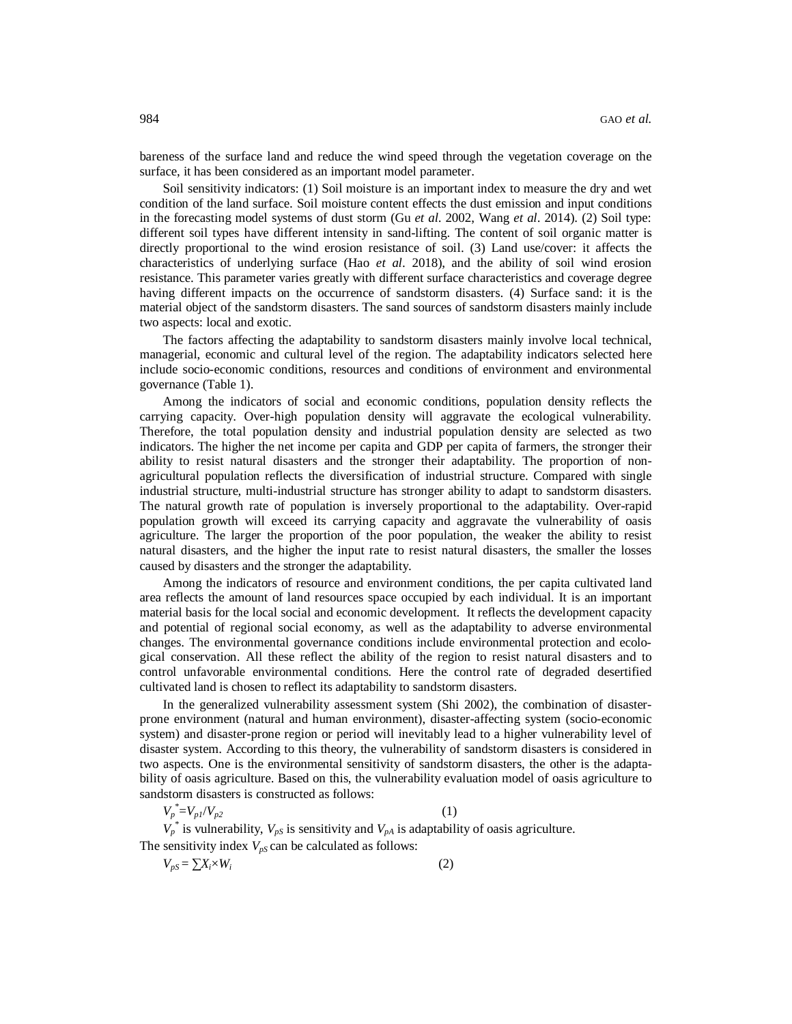bareness of the surface land and reduce the wind speed through the vegetation coverage on the surface, it has been considered as an important model parameter.

Soil sensitivity indicators: (1) Soil moisture is an important index to measure the dry and wet condition of the land surface. Soil moisture content effects the dust emission and input conditions in the forecasting model systems of dust storm (Gu *et al*. 2002, Wang *et al*. 2014). (2) Soil type: different soil types have different intensity in sand-lifting. The content of soil organic matter is directly proportional to the wind erosion resistance of soil. (3) Land use/cover: it affects the characteristics of underlying surface (Hao *et al*. 2018), and the ability of soil wind erosion resistance. This parameter varies greatly with different surface characteristics and coverage degree having different impacts on the occurrence of sandstorm disasters. (4) Surface sand: it is the material object of the sandstorm disasters. The sand sources of sandstorm disasters mainly include two aspects: local and exotic.

The factors affecting the adaptability to sandstorm disasters mainly involve local technical, managerial, economic and cultural level of the region. The adaptability indicators selected here include socio-economic conditions, resources and conditions of environment and environmental governance (Table 1).

Among the indicators of social and economic conditions, population density reflects the carrying capacity. Over-high population density will aggravate the ecological vulnerability. Therefore, the total population density and industrial population density are selected as two indicators. The higher the net income per capita and GDP per capita of farmers, the stronger their ability to resist natural disasters and the stronger their adaptability. The proportion of nonagricultural population reflects the diversification of industrial structure. Compared with single industrial structure, multi-industrial structure has stronger ability to adapt to sandstorm disasters. The natural growth rate of population is inversely proportional to the adaptability. Over-rapid population growth will exceed its carrying capacity and aggravate the vulnerability of oasis agriculture. The larger the proportion of the poor population, the weaker the ability to resist natural disasters, and the higher the input rate to resist natural disasters, the smaller the losses caused by disasters and the stronger the adaptability.

Among the indicators of resource and environment conditions, the per capita cultivated land area reflects the amount of land resources space occupied by each individual. It is an important material basis for the local social and economic development. It reflects the development capacity and potential of regional social economy, as well as the adaptability to adverse environmental changes. The environmental governance conditions include environmental protection and ecological conservation. All these reflect the ability of the region to resist natural disasters and to control unfavorable environmental conditions. Here the control rate of degraded desertified cultivated land is chosen to reflect its adaptability to sandstorm disasters.

In the generalized vulnerability assessment system (Shi 2002), the combination of disasterprone environment (natural and human environment), disaster-affecting system (socio-economic system) and disaster-prone region or period will inevitably lead to a higher vulnerability level of disaster system. According to this theory, the vulnerability of sandstorm disasters is considered in two aspects. One is the environmental sensitivity of sandstorm disasters, the other is the adaptability of oasis agriculture. Based on this, the vulnerability evaluation model of oasis agriculture to sandstorm disasters is constructed as follows:

$$
V_p^* = V_{p1}/V_{p2} \tag{1}
$$

 $V_p^*$  is vulnerability,  $V_{pS}$  is sensitivity and  $V_{pA}$  is adaptability of oasis agriculture.

The sensitivity index  $V_{pS}$  can be calculated as follows:

$$
V_{pS} = \sum X_i \times W_i \tag{2}
$$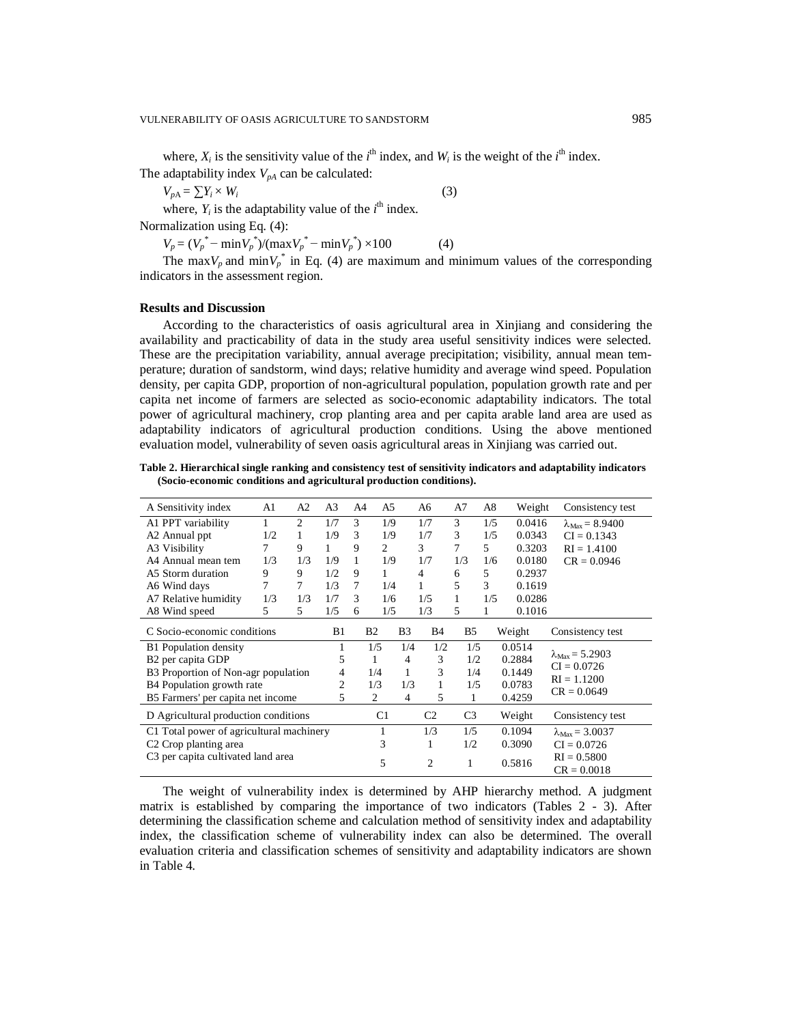where,  $X_i$  is the sensitivity value of the  $i^{\text{th}}$  index, and  $W_i$  is the weight of the  $i^{\text{th}}$  index. The adaptability index  $V_{pA}$  can be calculated:

 $V_{pA} = \sum Y_i \times W_i$  $(3)$ where,  $Y_i$  is the adaptability value of the  $i^{\text{th}}$  index.

Normalization using Eq. (4):

 $V_p = (V_p^* - \min V_p^*)/(\max V_p^* - \min V_p^*) \times 100$  (4)

The max $V_p$  and min $V_p^*$  in Eq. (4) are maximum and minimum values of the corresponding indicators in the assessment region.

# **Results and Discussion**

According to the characteristics of oasis agricultural area in Xinjiang and considering the availability and practicability of data in the study area useful sensitivity indices were selected. These are the precipitation variability, annual average precipitation; visibility, annual mean temperature; duration of sandstorm, wind days; relative humidity and average wind speed. Population density, per capita GDP, proportion of non-agricultural population, population growth rate and per capita net income of farmers are selected as socio-economic adaptability indicators. The total power of agricultural machinery, crop planting area and per capita arable land area are used as adaptability indicators of agricultural production conditions. Using the above mentioned evaluation model, vulnerability of seven oasis agricultural areas in Xinjiang was carried out.

**Table 2. Hierarchical single ranking and consistency test of sensitivity indicators and adaptability indicators (Socio-economic conditions and agricultural production conditions).**

| A Sensitivity index                            | A1  | A <sub>2</sub> | A <sub>3</sub> | A <sup>4</sup>      | A5        |     | A6             | A7  | A8  | Weight | Consistency test               |  |
|------------------------------------------------|-----|----------------|----------------|---------------------|-----------|-----|----------------|-----|-----|--------|--------------------------------|--|
| A1 PPT variability                             | 1   | 2              | 1/7            | 3                   | 1/9       |     | 1/7            | 3   | 1/5 | 0.0416 | $\lambda_{Max} = 8.9400$       |  |
| A2 Annual ppt                                  | 1/2 | 1              | 1/9            | 3                   | 1/9       |     | 1/7            | 3   | 1/5 | 0.0343 | $CI = 0.1343$                  |  |
| A3 Visibility                                  | 7   | 9              | 1              | 9                   | 2         |     | 3              | 7   | 5   | 0.3203 | $RI = 1.4100$                  |  |
| A4 Annual mean tem                             | 1/3 | 1/3            | 1/9            |                     | 1/9       |     | 1/7            | 1/3 | 1/6 | 0.0180 | $CR = 0.0946$                  |  |
| A5 Storm duration                              | 9   | 9              | 1/2            | 9                   | 1         |     | $\overline{4}$ | 6   | 5   | 0.2937 |                                |  |
| A6 Wind days                                   | 7   | 7              | 1/3            | 7                   | 1/4       |     | 1              | 5   | 3   | 0.1619 |                                |  |
| A7 Relative humidity                           | 1/3 | 1/3            | 1/7            | 3                   | 1/6       |     | 1/5            | 1   | 1/5 | 0.0286 |                                |  |
| A8 Wind speed                                  | 5   | 5              | 1/5            | 6                   | 1/5       |     | 1/3            | 5   | 1   | 0.1016 |                                |  |
| C Socio-economic conditions                    |     |                | B1             |                     | <b>B2</b> | B3  | B4             | B5  |     | Weight | Consistency test               |  |
| <b>B1</b> Population density                   |     |                | 1              |                     | 1/5       | 1/4 | 1/2            | 1/5 |     | 0.0514 |                                |  |
| B <sub>2</sub> per capita GDP                  |     |                | 5              | 1<br>1/4            |           | 4   | 3              | 1/2 |     | 0.2884 | $\lambda_{Max} = 5.2903$       |  |
| B3 Proportion of Non-agr population            |     |                | 4              |                     |           | 1   | 3              | 1/4 |     | 0.1449 | $CI = 0.0726$                  |  |
| B4 Population growth rate                      |     |                | $\overline{c}$ | 1/3                 |           | 1/3 | 1              | 1/5 |     | 0.0783 | $RI = 1.1200$<br>$CR = 0.0649$ |  |
| B5 Farmers' per capita net income              |     |                |                | 5<br>$\overline{2}$ |           | 4   | 5              | 1   |     | 0.4259 |                                |  |
| D Agricultural production conditions           |     |                |                |                     | C1        |     | C2             | C3  |     | Weight | Consistency test               |  |
| C1 Total power of agricultural machinery       |     |                |                |                     | 1         |     | 1/3            | 1/5 |     | 0.1094 | $\lambda_{Max} = 3.0037$       |  |
| C <sub>2</sub> Crop planting area              |     |                |                | 3                   |           |     | 1              | 1/2 |     | 0.3090 | $CI = 0.0726$                  |  |
| C <sub>3</sub> per capita cultivated land area |     |                |                |                     | 5         |     |                |     |     |        | $RI = 0.5800$                  |  |
|                                                |     |                |                |                     |           |     | 2              | 1   |     | 0.5816 | $CR = 0.0018$                  |  |

The weight of vulnerability index is determined by AHP hierarchy method. A judgment matrix is established by comparing the importance of two indicators (Tables 2 - 3). After determining the classification scheme and calculation method of sensitivity index and adaptability index, the classification scheme of vulnerability index can also be determined. The overall evaluation criteria and classification schemes of sensitivity and adaptability indicators are shown in Table 4.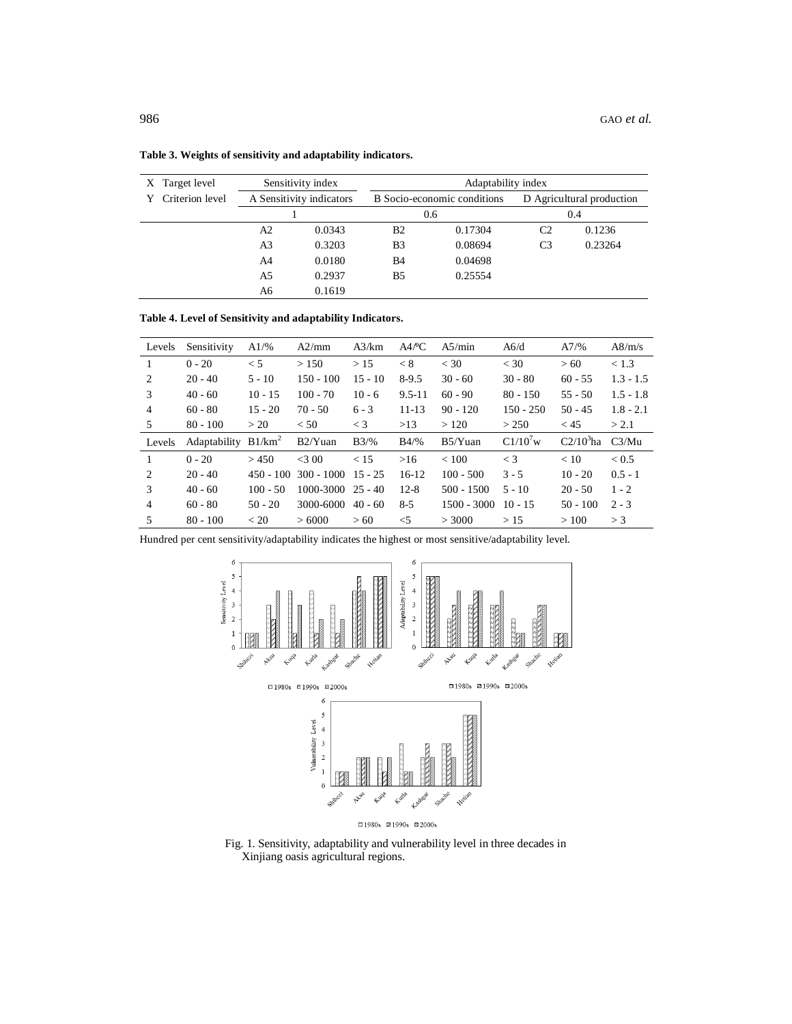| X Target level  | Sensitivity index |                          |            | Adaptability index          |                           |         |  |  |  |
|-----------------|-------------------|--------------------------|------------|-----------------------------|---------------------------|---------|--|--|--|
| Criterion level |                   | A Sensitivity indicators |            | B Socio-economic conditions | D Agricultural production |         |  |  |  |
|                 |                   |                          |            | 0.6                         | 0.4                       |         |  |  |  |
|                 | A2                | 0.0343                   | <b>B</b> 2 | 0.17304                     | C2                        | 0.1236  |  |  |  |
|                 | A3                | 0.3203                   |            | 0.08694                     | C <sub>3</sub>            | 0.23264 |  |  |  |
|                 | A4                | 0.0180                   | B4         | 0.04698                     |                           |         |  |  |  |
|                 | A5                | 0.2937                   | B5         | 0.25554                     |                           |         |  |  |  |
|                 | A6<br>0.1619      |                          |            |                             |                           |         |  |  |  |

**Table 3. Weights of sensitivity and adaptability indicators.**

**Table 4. Level of Sensitivity and adaptability Indicators.**

| Levels         | Sensitivity            | $A1/\%$     | A2/mm                | A3/km     | A4/°C      | A5/min        | A6/d          | A7/%        | A8/m/s      |
|----------------|------------------------|-------------|----------------------|-----------|------------|---------------|---------------|-------------|-------------|
|                | $0 - 20$               | $\leq 5$    | > 150                | >15       | < 8        | $<$ 30        | $<$ 30        | > 60        | < 1.3       |
| 2              | $20 - 40$              | $5 - 10$    | $150 - 100$          | $15 - 10$ | $8-9.5$    | $30 - 60$     | $30 - 80$     | $60 - 55$   | $1.3 - 1.5$ |
| 3              | $40 - 60$              | $10 - 15$   | $100 - 70$           | $10 - 6$  | $9.5 - 11$ | $60 - 90$     | $80 - 150$    | $55 - 50$   | $1.5 - 1.8$ |
| 4              | $60 - 80$              | $15 - 20$   | $70 - 50$            | $6 - 3$   | $11 - 13$  | $90 - 120$    | $150 - 250$   | $50 - 45$   | $1.8 - 2.1$ |
| 5              | $80 - 100$             | >20         | < 50                 | $\lt$ 3   | >13        | >120          | > 250         | < 45        | > 2.1       |
| Levels         | Adaptability $B1/km^2$ |             | $B2/Y$ uan           | B3/%      | $B4/\%$    | $B5/Y$ uan    | $C1/10^{7}$ w | $C2/103$ ha | C3/Mu       |
|                | $0 - 20$               | > 450       | <300                 | < 15      | >16        | < 100         | $<$ 3         | < 10        | < 0.5       |
|                |                        |             |                      |           |            |               |               |             |             |
| 2              | $20 - 40$              | $450 - 100$ | $300 - 1000$ 15 - 25 |           | $16-12$    | $100 - 500$   | $3 - 5$       | $10 - 20$   | $0.5 - 1$   |
| $\mathcal{R}$  | $40 - 60$              | $100 - 50$  | 1000-3000            | $25 - 40$ | $12 - 8$   | $500 - 1500$  | $5 - 10$      | $20 - 50$   | $1 - 2$     |
| $\overline{4}$ | $60 - 80$              | $50 - 20$   | 3000-6000            | $40 - 60$ | $8 - 5$    | $1500 - 3000$ | $10 - 15$     | $50 - 100$  | $2 - 3$     |

Hundred per cent sensitivity/adaptability indicates the highest or most sensitive/adaptability level.



Fig. 1. Sensitivity, adaptability and vulnerability level in three decades in Xinjiang oasis agricultural regions.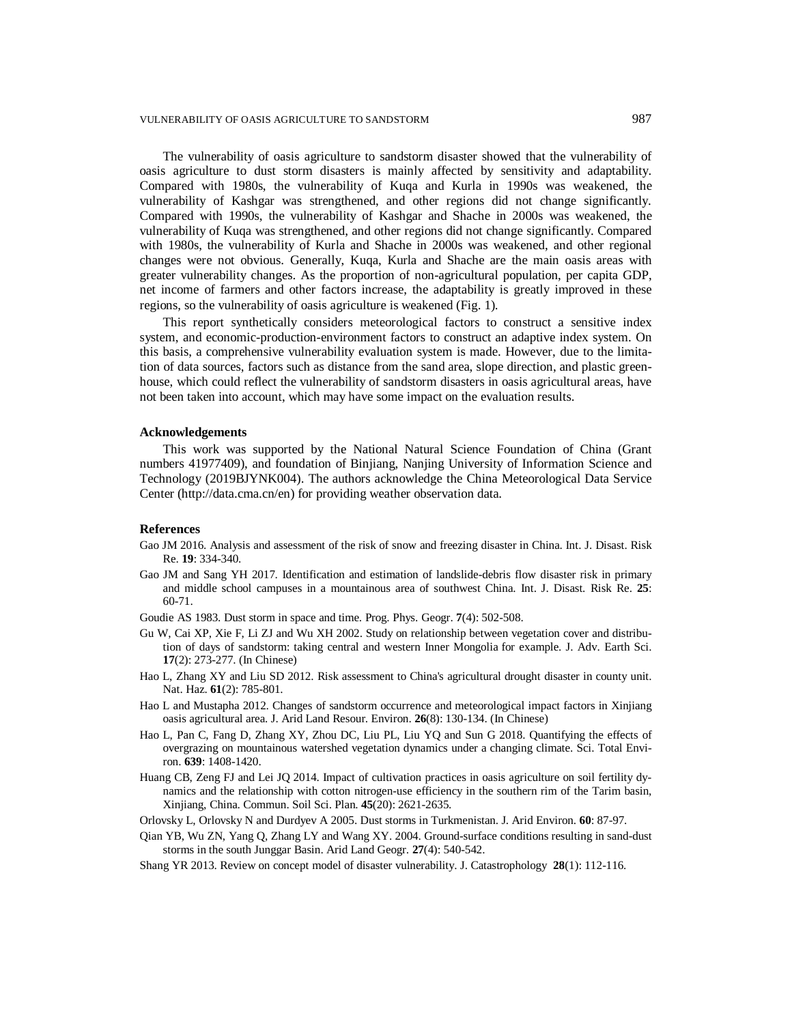#### VULNERABILITY OF OASIS AGRICULTURE TO SANDSTORM 987

The vulnerability of oasis agriculture to sandstorm disaster showed that the vulnerability of oasis agriculture to dust storm disasters is mainly affected by sensitivity and adaptability. Compared with 1980s, the vulnerability of Kuqa and Kurla in 1990s was weakened, the vulnerability of Kashgar was strengthened, and other regions did not change significantly. Compared with 1990s, the vulnerability of Kashgar and Shache in 2000s was weakened, the vulnerability of Kuqa was strengthened, and other regions did not change significantly. Compared with 1980s, the vulnerability of Kurla and Shache in 2000s was weakened, and other regional changes were not obvious. Generally, Kuqa, Kurla and Shache are the main oasis areas with greater vulnerability changes. As the proportion of non-agricultural population, per capita GDP, net income of farmers and other factors increase, the adaptability is greatly improved in these regions, so the vulnerability of oasis agriculture is weakened (Fig. 1).

This report synthetically considers meteorological factors to construct a sensitive index system, and economic-production-environment factors to construct an adaptive index system. On this basis, a comprehensive vulnerability evaluation system is made. However, due to the limitation of data sources, factors such as distance from the sand area, slope direction, and plastic greenhouse, which could reflect the vulnerability of sandstorm disasters in oasis agricultural areas, have not been taken into account, which may have some impact on the evaluation results.

# **Acknowledgements**

This work was supported by the National Natural Science Foundation of China (Grant numbers 41977409), and foundation of Binjiang, Nanjing University of Information Science and Technology (2019BJYNK004). The authors acknowledge the China Meteorological Data Service Center [\(http://data.cma.cn/en\)](http://data.cma.cn/en)) for providing weather observation data.

### **References**

- Gao JM 2016. Analysis and assessment of the risk of snow and freezing disaster in China. Int. J. Disast. Risk Re. **19**: 334-340.
- Gao JM and Sang YH 2017. Identification and estimation of landslide-debris flow disaster risk in primary and middle school campuses in a mountainous area of southwest China. Int. J. Disast. Risk Re. **25**: 60-71.
- Goudie AS 1983. Dust storm in space and time. Prog. Phys. Geogr. **7**(4): 502-508.
- Gu W, Cai XP, Xie F, Li ZJ and Wu XH 2002. Study on relationship between vegetation cover and distribution of days of sandstorm: taking central and western Inner Mongolia for example. J. Adv. Earth Sci. **17**(2): 273-277. (In Chinese)
- Hao L, Zhang XY and Liu SD 2012. Risk assessment to China's agricultural drought disaster in county unit. Nat. Haz. **61**(2): 785-801.
- Hao L and Mustapha 2012. Changes of sandstorm occurrence and meteorological impact factors in Xinjiang oasis agricultural area. J. Arid Land Resour. Environ. **26**(8): 130-134. (In Chinese)
- Hao L, Pan C, Fang D, Zhang XY, Zhou DC, Liu PL, Liu YQ and Sun G 2018. Quantifying the effects of overgrazing on mountainous watershed vegetation dynamics under a changing climate. Sci. Total Environ. **639**: 1408-1420.
- Huang CB, Zeng FJ and Lei JQ 2014. Impact of cultivation practices in oasis agriculture on soil fertility dynamics and the relationship with cotton nitrogen-use efficiency in the southern rim of the Tarim basin, Xinjiang, China. Commun. Soil Sci. Plan. **45**(20): 2621-2635.
- Orlovsky L, Orlovsky N and Durdyev A 2005. Dust storms in Turkmenistan. J. Arid Environ. **60**: 87-97.
- Qian YB, Wu ZN, Yang Q, Zhang LY and Wang XY. 2004. Ground-surface conditions resulting in sand-dust storms in the south Junggar Basin. Arid Land Geogr. **27**(4): 540-542.
- Shang YR 2013. Review on concept model of disaster vulnerability. J. Catastrophology **28**(1): 112-116.